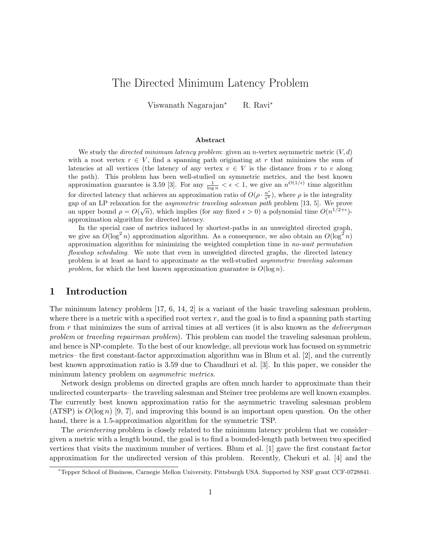# The Directed Minimum Latency Problem

Viswanath Nagarajan<sup>∗</sup> R. Ravi<sup>∗</sup>

#### Abstract

We study the *directed minimum latency problem:* given an *n*-vertex asymmetric metric  $(V, d)$ with a root vertex  $r \in V$ , find a spanning path originating at r that minimizes the sum of latencies at all vertices (the latency of any vertex  $v \in V$  is the distance from r to v along the path). This problem has been well-studied on symmetric metrics, and the best known approximation guarantee is 3.59 [3]. For any  $\frac{1}{\log n} < \epsilon < 1$ , we give an  $n^{O(1/\epsilon)}$  time algorithm for directed latency that achieves an approximation ratio of  $O(\rho \cdot \frac{n^{\epsilon}}{\epsilon^3})$ , where  $\rho$  is the integrality gap of an LP relaxation for the *asymmetric traveling salesman path* problem [13, 5]. We prove an upper bound  $\rho = O(\sqrt{n})$ , which implies (for any fixed  $\epsilon > 0$ ) a polynomial time  $O(n^{1/2+\epsilon})$ approximation algorithm for directed latency.

In the special case of metrics induced by shortest-paths in an unweighted directed graph, we give an  $O(\log^2 n)$  approximation algorithm. As a consequence, we also obtain an  $O(\log^2 n)$ approximation algorithm for minimizing the weighted completion time in no-wait permutation flowshop scheduling. We note that even in unweighted directed graphs, the directed latency problem is at least as hard to approximate as the well-studied asymmetric traveling salesman problem, for which the best known approximation guarantee is  $O(\log n)$ .

### 1 Introduction

The minimum latency problem [17, 6, 14, 2] is a variant of the basic traveling salesman problem, where there is a metric with a specified root vertex  $r$ , and the goal is to find a spanning path starting from  $r$  that minimizes the sum of arrival times at all vertices (it is also known as the *deliveryman* problem or traveling repairman problem). This problem can model the traveling salesman problem, and hence is NP-complete. To the best of our knowledge, all previous work has focused on symmetric metrics– the first constant-factor approximation algorithm was in Blum et al. [2], and the currently best known approximation ratio is 3.59 due to Chaudhuri et al. [3]. In this paper, we consider the minimum latency problem on *asymmetric metrics*.

Network design problems on directed graphs are often much harder to approximate than their undirected counterparts– the traveling salesman and Steiner tree problems are well known examples. The currently best known approximation ratio for the asymmetric traveling salesman problem  $(ATSP)$  is  $O(log n)$  [9, 7], and improving this bound is an important open question. On the other hand, there is a 1.5-approximation algorithm for the symmetric TSP.

The *orienteering* problem is closely related to the minimum latency problem that we consider– given a metric with a length bound, the goal is to find a bounded-length path between two specified vertices that visits the maximum number of vertices. Blum et al. [1] gave the first constant factor approximation for the undirected version of this problem. Recently, Chekuri et al. [4] and the

<sup>∗</sup>Tepper School of Business, Carnegie Mellon University, Pittsburgh USA. Supported by NSF grant CCF-0728841.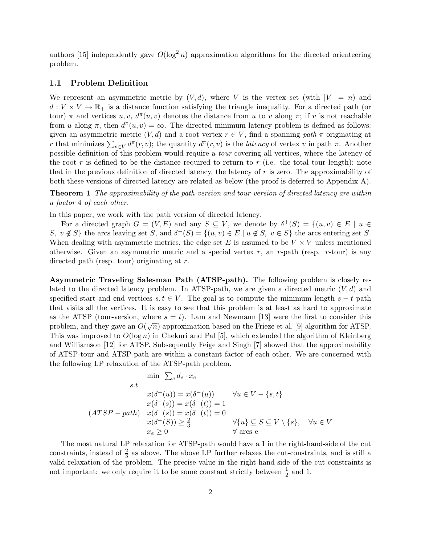authors [15] independently gave  $O(\log^2 n)$  approximation algorithms for the directed orienteering problem.

#### 1.1 Problem Definition

We represent an asymmetric metric by  $(V, d)$ , where V is the vertex set (with  $|V| = n$ ) and  $d: V \times V \to \mathbb{R}_+$  is a distance function satisfying the triangle inequality. For a directed path (or tour)  $\pi$  and vertices  $u, v, d^{\pi}(u, v)$  denotes the distance from u to v along  $\pi$ ; if v is not reachable from u along  $\pi$ , then  $d^{\pi}(u, v) = \infty$ . The directed minimum latency problem is defined as follows: given an asymmetric metric  $(V, d)$  and a root vertex  $r \in V$ , find a spanning path  $\pi$  originating at r that minimizes  $\sum_{v\in V} d^{\pi}(r, v)$ ; the quantity  $d^{\pi}(r, v)$  is the *latency* of vertex v in path  $\pi$ . Another possible definition of this problem would require a tour covering all vertices, where the latency of the root r is defined to be the distance required to return to r (i.e. the total tour length); note that in the previous definition of directed latency, the latency of  $r$  is zero. The approximability of both these versions of directed latency are related as below (the proof is deferred to Appendix A).

Theorem 1 The approximability of the path-version and tour-version of directed latency are within a factor 4 of each other.

In this paper, we work with the path version of directed latency.

For a directed graph  $G = (V, E)$  and any  $S \subseteq V$ , we denote by  $\delta^+(S) = \{(u, v) \in E \mid u \in$ S,  $v \notin S$  the arcs leaving set S, and  $\delta^-(S) = \{(u, v) \in E \mid u \notin S, v \in S\}$  the arcs entering set S. When dealing with asymmetric metrics, the edge set E is assumed to be  $V \times V$  unless mentioned otherwise. Given an asymmetric metric and a special vertex  $r$ , an  $r$ -path (resp.  $r$ -tour) is any directed path (resp. tour) originating at r.

Asymmetric Traveling Salesman Path (ATSP-path). The following problem is closely related to the directed latency problem. In ATSP-path, we are given a directed metric  $(V, d)$  and specified start and end vertices  $s, t \in V$ . The goal is to compute the minimum length  $s - t$  path that visits all the vertices. It is easy to see that this problem is at least as hard to approximate as the ATSP (tour-version, where  $s = t$ ). Lam and Newmann [13] were the first to consider this problem, and they gave an  $O(\sqrt{n})$  approximation based on the Frieze et al. [9] algorithm for ATSP. This was improved to  $O(\log n)$  in Chekuri and Pal [5], which extended the algorithm of Kleinberg and Williamson [12] for ATSP. Subsequently Feige and Singh [7] showed that the approximability of ATSP-tour and ATSP-path are within a constant factor of each other. We are concerned with the following LP relaxation of the ATSP-path problem.

$$
\min \sum_{e} d_{e} \cdot x_{e}
$$
\n
$$
s.t. \quad x(\delta^{+}(u)) = x(\delta^{-}(u)) \quad \forall u \in V - \{s, t\}
$$
\n
$$
x(\delta^{+}(s)) = x(\delta^{-}(t)) = 1
$$
\n
$$
(ATSP - path) \quad x(\delta^{-}(s)) = x(\delta^{+}(t)) = 0
$$
\n
$$
x(\delta^{-}(S)) \ge \frac{2}{3} \quad \forall \{u\} \subseteq S \subseteq V \setminus \{s\}, \quad \forall u \in V
$$
\n
$$
x_{e} \ge 0 \quad \forall \text{arcs } e
$$

The most natural LP relaxation for ATSP-path would have a 1 in the right-hand-side of the cut constraints, instead of  $\frac{2}{3}$  as above. The above LP further relaxes the cut-constraints, and is still a valid relaxation of the problem. The precise value in the right-hand-side of the cut constraints is not important: we only require it to be some constant strictly between  $\frac{1}{2}$  and 1.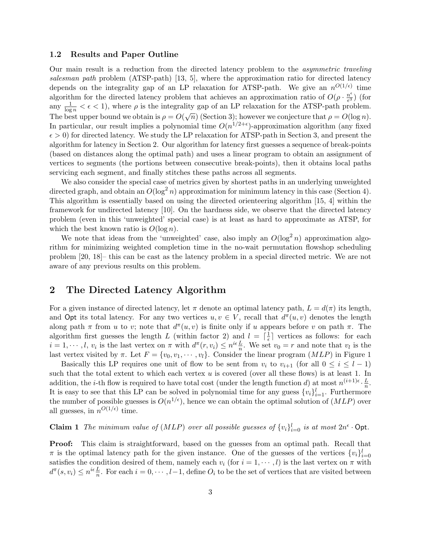#### 1.2 Results and Paper Outline

Our main result is a reduction from the directed latency problem to the asymmetric traveling salesman path problem (ATSP-path) [13, 5], where the approximation ratio for directed latency depends on the integrality gap of an LP relaxation for ATSP-path. We give an  $n^{O(1/\epsilon)}$  time algorithm for the directed latency problem that achieves an approximation ratio of  $O(\rho \cdot \frac{n^{\epsilon}}{s^3})$  $\frac{n^{\epsilon}}{\epsilon^3}$ ) (for any  $\frac{1}{\log n} < \epsilon < 1$ , where  $\rho$  is the integrality gap of an LP relaxation for the ATSP-path problem. The best upper bound we obtain is  $\rho = O(\sqrt{n})$  (Section 3); however we conjecture that  $\rho = O(\log n)$ . In particular, our result implies a polynomial time  $O(n^{1/2+\epsilon})$ -approximation algorithm (any fixed  $\epsilon > 0$ ) for directed latency. We study the LP relaxation for ATSP-path in Section 3, and present the algorithm for latency in Section 2. Our algorithm for latency first guesses a sequence of break-points (based on distances along the optimal path) and uses a linear program to obtain an assignment of vertices to segments (the portions between consecutive break-points), then it obtains local paths servicing each segment, and finally stitches these paths across all segments.

We also consider the special case of metrics given by shortest paths in an underlying unweighted directed graph, and obtain an  $O(\log^2 n)$  approximation for minimum latency in this case (Section 4). This algorithm is essentially based on using the directed orienteering algorithm [15, 4] within the framework for undirected latency [10]. On the hardness side, we observe that the directed latency problem (even in this 'unweighted' special case) is at least as hard to approximate as ATSP, for which the best known ratio is  $O(\log n)$ .

We note that ideas from the 'unweighted' case, also imply an  $O(\log^2 n)$  approximation algorithm for minimizing weighted completion time in the no-wait permutation flowshop scheduling problem [20, 18]– this can be cast as the latency problem in a special directed metric. We are not aware of any previous results on this problem.

## 2 The Directed Latency Algorithm

For a given instance of directed latency, let  $\pi$  denote an optimal latency path,  $L = d(\pi)$  its length, and Opt its total latency. For any two vertices  $u, v \in V$ , recall that  $d^{\pi}(u, v)$  denotes the length along path  $\pi$  from u to v; note that  $d^{\pi}(u, v)$  is finite only if u appears before v on path  $\pi$ . The algorithm first guesses the length L (within factor 2) and  $l = \lceil \frac{1}{6} \rceil$  $\frac{1}{\epsilon}$  vertices as follows: for each  $i = 1, \dots, l, v_i$  is the last vertex on  $\pi$  with  $d^{\pi}(r, v_i) \leq n^{i\epsilon} \frac{L}{n}$ . We set  $v_0 = r$  and note that  $v_i$  is the last vertex visited by  $\pi$ . Let  $F = \{v_0, v_1, \dots, v_l\}$ . Consider the linear program  $(MLP)$  in Figure 1

Basically this LP requires one unit of flow to be sent from  $v_i$  to  $v_{i+1}$  (for all  $0 \leq i \leq l-1$ ) such that the total extent to which each vertex  $u$  is covered (over all these flows) is at least 1. In addition, the *i*-th flow is required to have total cost (under the length function d) at most  $n^{(i+1)\epsilon} \cdot \frac{L}{n}$ . addition, the *i*-th now is required to have total cost (under the length function *u*) at most  $h^{\sqrt{t}}$ .<br>It is easy to see that this LP can be solved in polynomial time for any guess  $\{v_i\}_{i=1}^l$ . Furthermore the number of possible guesses is  $O(n^{1/\epsilon})$ , hence we can obtain the optimal solution of  $(MLP)$  over all guesses, in  $n^{O(1/\epsilon)}$  time.

**Claim 1** The minimum value of  $(MLP)$  over all possible guesses of  $\{v_i\}_{i=0}^l$  is at most  $2n^{\epsilon} \cdot \text{Opt.}$ 

Proof: This claim is straightforward, based on the guesses from an optimal path. Recall that  $\pi$  is the optimal latency path for the given instance. One of the guesses of the vertices  $\{v_i\}_{i=0}^l$ satisfies the condition desired of them, namely each  $v_i$  (for  $i = 1, \dots, l$ ) is the last vertex on  $\pi$  with  $d^{\pi}(s, v_i) \leq n^{i\epsilon} \frac{L}{n}$ . For each  $i = 0, \dots, l-1$ , define  $O_i$  to be the set of vertices that are visited between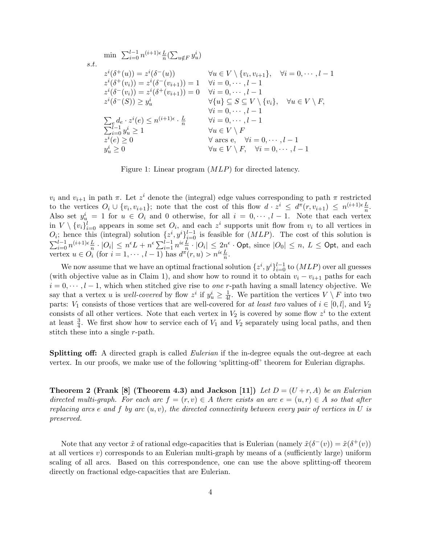$$
\begin{aligned}\n\min \quad & \sum_{i=0}^{l-1} n^{(i+1)\epsilon} \frac{L}{n} (\sum_{u \notin F} y_u^i) \\
& z^i(\delta^+(u)) = z^i(\delta^-(u)) \\
& z^i(\delta^+(v_i)) = z^i(\delta^-(v_{i+1})) = 1 \quad \forall i = 0, \dots, l-1 \\
& z^i(\delta^-(v_i)) = z^i(\delta^+(v_{i+1})) = 0 \quad \forall i = 0, \dots, l-1 \\
& z^i(\delta^-(S)) \geq y_u^i \quad \forall \{u\} \subseteq S \subseteq V \setminus \{v_i\}, \quad \forall u \in V \setminus F, \\
& \forall i = 0, \dots, l-1 \\
& \sum_{i=0}^{l-1} y_u^i \geq 1 \quad \forall u \in V \setminus F, \\
& z^i(e) \geq 0 \quad \forall u \in V \setminus F, \\
& y_u^i \geq 0 \quad \forall u \in V \setminus F, \quad \forall i = 0, \dots, l-1 \\
& y_u^i \geq 0 \quad \forall u \in V \setminus F, \quad \forall i = 0, \dots, l-1\n\end{aligned}
$$

Figure 1: Linear program (MLP) for directed latency.

 $v_i$  and  $v_{i+1}$  in path  $\pi$ . Let  $z^i$  denote the (integral) edge values corresponding to path  $\pi$  restricted to the vertices  $O_i \cup \{v_i, v_{i+1}\}$ ; note that the cost of this flow  $d \cdot z^i \leq d^{\pi}(r, v_{i+1}) \leq n^{(i+1)\epsilon} \frac{L}{n}$ . Also set  $y_u^i = 1$  for  $u \in O_i$  and 0 otherwise, for all  $i = 0, \dots, l-1$ . Note that each vertex in  $V \setminus \{v_i\}_{i=0}^l$  appears in some set  $O_i$ , and each  $z^i$  supports unit flow from  $v_i$  to all vertices in  $O_i$ ; hence this (integral) solution  $\{z^i, y^i\}_{i=0}^{l-1}$  is feasible for  $(MLP)$ . The cost of this solution is  $\sum_{i=0}^{l-1} n^{(i+1)\epsilon} \frac{L}{n} \cdot |O_i| \leq n^{\epsilon} L + n^{\epsilon} \sum_{i=1}^{l-1} n^{i\epsilon} \frac{L}{n} \cdot |O_i| \leq 2n^{\epsilon} \cdot \text{Opt}, \text{ since } |O_0| \leq n, L \leq \text{Opt}, \text{ and each }$ vertex  $u \in O_i$  (for  $i = 1, \dots, l-1$ ) has  $d^{\pi}(r, u) > n^{i\epsilon} \frac{L}{n}$ .

We now assume that we have an optimal fractional solution  $\{z^i, y^i\}_{i=0}^{l-1}$  to  $(MLP)$  over all guesses (with objective value as in Claim 1), and show how to round it to obtain  $v_i - v_{i+1}$  paths for each  $i = 0, \dots, l-1$ , which when stitched give rise to *one* r-path having a small latency objective. We say that a vertex u is well-covered by flow  $z^i$  if  $y^i_u \geq \frac{1}{4}$  $\frac{1}{4l}$ . We partition the vertices  $V \setminus F$  into two parts:  $V_1$  consists of those vertices that are well-covered for at least two values of  $i \in [0, l]$ , and  $V_2$ consists of all other vertices. Note that each vertex in  $V_2$  is covered by some flow  $z^i$  to the extent at least  $\frac{3}{4}$ . We first show how to service each of  $V_1$  and  $V_2$  separately using local paths, and then stitch these into a single r-path.

**Splitting off:** A directed graph is called *Eulerian* if the in-degree equals the out-degree at each vertex. In our proofs, we make use of the following 'splitting-off' theorem for Eulerian digraphs.

**Theorem 2 (Frank [8] (Theorem 4.3) and Jackson [11])** Let  $D = (U + r, A)$  be an Eulerian directed multi-graph. For each arc  $f = (r, v) \in A$  there exists an arc  $e = (u, r) \in A$  so that after replacing arcs e and f by arc  $(u, v)$ , the directed connectivity between every pair of vertices in U is preserved.

Note that any vector  $\tilde{x}$  of rational edge-capacities that is Eulerian (namely  $\tilde{x}(\delta^-(v)) = \tilde{x}(\delta^+(v))$ ) at all vertices  $v$ ) corresponds to an Eulerian multi-graph by means of a (sufficiently large) uniform scaling of all arcs. Based on this correspondence, one can use the above splitting-off theorem directly on fractional edge-capacities that are Eulerian.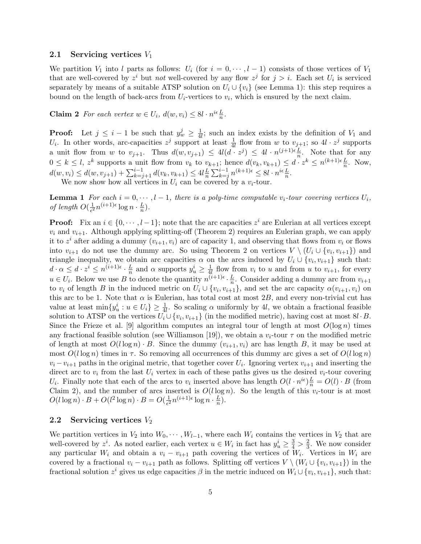#### 2.1 Servicing vertices  $V_1$

We partition  $V_1$  into l parts as follows:  $U_i$  (for  $i = 0, \dots, l-1$ ) consists of those vertices of  $V_1$ that are well-covered by  $z^i$  but not well-covered by any flow  $z^j$  for  $j > i$ . Each set  $U_i$  is serviced separately by means of a suitable ATSP solution on  $U_i \cup \{v_i\}$  (see Lemma 1): this step requires a bound on the length of back-arcs from  $U_i$ -vertices to  $v_i$ , which is ensured by the next claim.

**Claim 2** For each vertex  $w \in U_i$ ,  $d(w, v_i) \leq 8l \cdot n^{i\epsilon} \frac{L}{n}$ .

**Proof:** Let  $j \leq i-1$  be such that  $y_w^j \geq \frac{1}{4}$  $\frac{1}{4l}$ ; such an index exists by the definition of  $V_1$  and  $U_i$ . In other words, arc-capacities  $z^j$  support at least  $\frac{1}{4l}$  flow from w to  $v_{j+1}$ ; so  $4l \cdot z^j$  supports a unit flow from w to  $v_{j+1}$ . Thus  $d(w, v_{j+1}) \leq 4l(d \cdot z^j) \leq 4l \cdot n^{(j+1)\epsilon} \frac{L}{n}$ . Note that for any  $0 \leq k \leq l, z^k$  supports a unit flow from  $v_k$  to  $v_{k+1}$ ; hence  $d(v_k, v_{k+1}) \leq d \cdot z^k \leq n^{(k+1)\epsilon} \frac{L}{n}$ . Now,  $d(w, v_i) \leq d(w, v_{j+1}) + \sum_{k=j+1}^{i-1} d(v_k, v_{k+1}) \leq 4l \frac{L}{n}$  $\frac{L}{n} \sum_{k=j}^{i-1} n^{(k+1)\epsilon} \leq 8l \cdot n^{i\epsilon} \frac{L}{n}.$ 

We now show how all vertices in  $U_i$  can be covered by a  $v_i$ -tour.

**Lemma 1** For each  $i = 0, \dots, l-1$ , there is a poly-time computable  $v_i$ -tour covering vertices  $U_i$ , of length  $O(\frac{1}{\epsilon^2})$  $\frac{1}{\epsilon^2} n^{(i+1)\epsilon} \log n \cdot \frac{L}{n}$  $\frac{L}{n}$ .

**Proof:** Fix an  $i \in \{0, \dots, l-1\}$ ; note that the arc capacities  $z^i$  are Eulerian at all vertices except  $v_i$  and  $v_{i+1}$ . Although applying splitting-off (Theorem 2) requires an Eulerian graph, we can apply it to  $z^i$  after adding a dummy  $(v_{i+1}, v_i)$  arc of capacity 1, and observing that flows from  $v_i$  or flows into  $v_{i+1}$  do not use the dummy arc. So using Theorem 2 on vertices  $V \setminus (U_i \cup \{v_i, v_{i+1}\})$  and triangle inequality, we obtain arc capacities  $\alpha$  on the arcs induced by  $U_i \cup \{v_i, v_{i+1}\}\$  such that:  $d \cdot \alpha \leq d \cdot z^i \leq n^{(i+1)\epsilon} \cdot \frac{L}{n}$  $\frac{L}{n}$  and  $\alpha$  supports  $y_u^i \geq \frac{1}{4}$  $\frac{1}{4l}$  flow from  $v_i$  to u and from u to  $v_{i+1}$ , for every  $u \in U_i$ . Below we use B to denote the quantity  $n^{(i+1)\epsilon} \cdot \frac{L}{n}$  $\frac{L}{n}$ . Consider adding a dummy arc from  $v_{i+1}$ to  $v_i$  of length B in the induced metric on  $U_i \cup \{v_i, v_{i+1}\}$ , and set the arc capacity  $\alpha(v_{i+1}, v_i)$  on this arc to be 1. Note that  $\alpha$  is Eulerian, has total cost at most 2B, and every non-trivial cut has value at least  $\min\{y_u^i : u \in U_i\} \ge \frac{1}{4l}$ . So scaling  $\alpha$  uniformly by 4l, we obtain a fractional feasible solution to ATSP on the vertices  $U_i \cup \{v_i, v_{i+1}\}$  (in the modified metric), having cost at most  $8l \cdot B$ . Since the Frieze et al. [9] algorithm computes an integral tour of length at most  $O(\log n)$  times any fractional feasible solution (see Williamson [19]), we obtain a  $v_i$ -tour  $\tau$  on the modified metric of length at most  $O(l \log n) \cdot B$ . Since the dummy  $(v_{i+1}, v_i)$  arc has length B, it may be used at most  $O(l \log n)$  times in  $\tau$ . So removing all occurrences of this dummy arc gives a set of  $O(l \log n)$  $v_i - v_{i+1}$  paths in the original metric, that together cover  $U_i$ . Ignoring vertex  $v_{i+1}$  and inserting the direct arc to  $v_i$  from the last  $U_i$  vertex in each of these paths gives us the desired  $v_i$ -tour covering  $U_i$ . Finally note that each of the arcs to  $v_i$  inserted above has length  $O(l \cdot n^{i\epsilon})\frac{L}{n} = O(l) \cdot B$  (from Claim 2), and the number of arcs inserted is  $O(l \log n)$ . So the length of this  $v_i$ -tour is at most  $O(l \log n) \cdot B + O(l^2 \log n) \cdot B = O(\frac{1}{\epsilon^2})$  $\frac{1}{\epsilon^2} n^{(i+1)\epsilon} \log n \cdot \frac{L}{n}$  $\frac{L}{n}$ .

### 2.2 Servicing vertices  $V_2$

We partition vertices in  $V_2$  into  $W_0, \dots, W_{l-1}$ , where each  $W_i$  contains the vertices in  $V_2$  that are well-covered by  $z^i$ . As noted earlier, each vertex  $u \in W_i$  in fact has  $y_u^i \ge \frac{3}{4} > \frac{2}{3}$  $\frac{2}{3}$ . We now consider any particular  $W_i$  and obtain a  $v_i - v_{i+1}$  path covering the vertices of  $W_i$ . Vertices in  $W_i$  are covered by a fractional  $v_i - v_{i+1}$  path as follows. Splitting off vertices  $V \setminus (W_i \cup \{v_i, v_{i+1}\})$  in the fractional solution  $z^i$  gives us edge capacities  $\beta$  in the metric induced on  $W_i \cup \{v_i, v_{i+1}\}\$ , such that: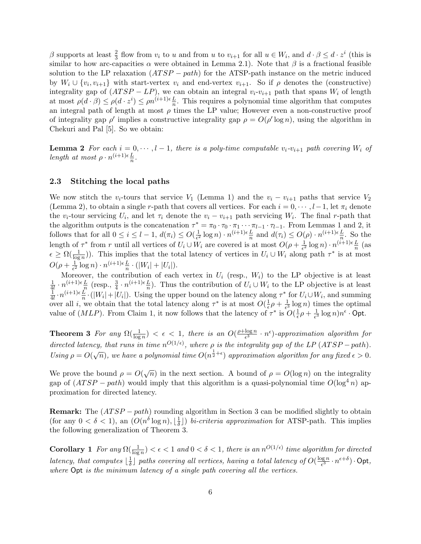$\beta$  supports at least  $\frac{2}{3}$  flow from  $v_i$  to u and from u to  $v_{i+1}$  for all  $u \in W_i$ , and  $d \cdot \beta \leq d \cdot z^i$  (this is similar to how arc-capacities  $\alpha$  were obtained in Lemma 2.1). Note that  $\beta$  is a fractional feasible solution to the LP relaxation  $(ATSP - path)$  for the ATSP-path instance on the metric induced by  $W_i \cup \{v_i, v_{i+1}\}\$  with start-vertex  $v_i$  and end-vertex  $v_{i+1}$ . So if  $\rho$  denotes the (constructive) integrality gap of  $(ATSP - LP)$ , we can obtain an integral  $v_i-v_{i+1}$  path that spans  $W_i$  of length at most  $\rho(d \cdot \beta) \leq \rho(d \cdot z^i) \leq \rho n^{(i+1)\epsilon} \frac{L}{n}$ . This requires a polynomial time algorithm that computes an integral path of length at most  $\rho$  times the LP value; However even a non-constructive proof of integrality gap  $\rho'$  implies a constructive integrality gap  $\rho = O(\rho' \log n)$ , using the algorithm in Chekuri and Pal [5]. So we obtain:

**Lemma 2** For each  $i = 0, \dots, l-1$ , there is a poly-time computable  $v_i-v_{i+1}$  path covering  $W_i$  of length at most  $\rho \cdot n^{(i+1)\epsilon} \frac{L}{n}$ .

#### 2.3 Stitching the local paths

We now stitch the v<sub>i</sub>-tours that service V<sub>1</sub> (Lemma 1) and the  $v_i - v_{i+1}$  paths that service V<sub>2</sub> (Lemma 2), to obtain a single r-path that covers all vertices. For each  $i = 0, \dots, l-1$ , let  $\pi_i$  denote the  $v_i$ -tour servicing  $U_i$ , and let  $\tau_i$  denote the  $v_i - v_{i+1}$  path servicing  $W_i$ . The final r-path that the algorithm outputs is the concatenation  $\tau^* = \pi_0 \cdot \pi_0 \cdot \pi_1 \cdots \pi_{l-1} \cdot \pi_{l-1}$ . From Lemmas 1 and 2, it follows that for all  $0 \leq i \leq l-1$ ,  $d(\pi_i) \leq O(\frac{1}{\epsilon^2})$  $\frac{1}{\epsilon^2} \log n \cdot n^{(i+1)\epsilon} \frac{L}{n}$  and  $d(\tau_i) \leq O(\rho) \cdot n^{(i+1)\epsilon} \frac{L}{n}$ . So the length of  $\tau^*$  from r until all vertices of  $U_i \cup W_i$  are covered is at most  $O(\rho + \frac{1}{\epsilon^2})$  $\frac{1}{\epsilon^2} \log n \cdot n^{(i+1)\epsilon} \frac{L}{n}$  (as  $\epsilon \geq \Omega(\frac{1}{\log n})$ ). This implies that the total latency of vertices in  $U_i \cup W_i$  along path  $\tau^*$  is at most  $O(\rho + \frac{1}{\epsilon^2})$  $\frac{1}{\epsilon^2} \log n \cdot n^{(i+1)\epsilon} \frac{L}{n} \cdot (|W_i| + |U_i|).$ 

Moreover, the contribution of each vertex in  $U_i$  (resp.,  $W_i$ ) to the LP objective is at least 1  $\frac{1}{4l} \cdot n^{(i+1)\epsilon} \frac{L}{n}$  (resp.,  $\frac{3}{4} \cdot n^{(i+1)\epsilon} \frac{L}{n}$ ). Thus the contribution of  $U_i \cup W_i$  to the LP objective is at least 1  $\frac{1}{4l} \cdot n^{(i+1)\epsilon} \frac{L}{n} \cdot (|W_i| + |U_i|)$ . Using the upper bound on the latency along  $\tau^*$  for  $U_i \cup W_i$ , and summing over all i, we obtain that the total latency along  $\tau^*$  is at most  $O(\frac{1}{\epsilon})$  $\frac{1}{\epsilon} \rho + \frac{1}{\epsilon^3}$  $\frac{1}{\epsilon^3} \log n$ ) times the optimal value of  $(MLP)$ . From Claim 1, it now follows that the latency of  $\tau^*$  is  $O(\frac{1}{\epsilon})$  $\frac{1}{\epsilon}\rho+\frac{1}{\epsilon^3}$  $\frac{1}{\epsilon^3}\log n)n^{\epsilon}\cdot \mathsf{Opt}.$ 

**Theorem 3** For any  $\Omega(\frac{1}{\log n}) < \epsilon < 1$ , there is an  $O(\frac{\rho + \log n}{\epsilon^3})$  $\frac{\log n}{\epsilon^3} \cdot n^{\epsilon}$ )-approximation algorithm for directed latency, that runs in time  $n^{O(1/\epsilon)}$ , where  $\rho$  is the integrality gap of the LP (ATSP – path). Using  $\rho = O(\sqrt{n})$ , we have a polynomial time  $O(n^{\frac{1}{2}+\epsilon})$  approximation algorithm for any fixed  $\epsilon > 0$ .

We prove the bound  $\rho = O(\sqrt{n})$  in the next section. A bound of  $\rho = O(\log n)$  on the integrality gap of  $(ATSP - path)$  would imply that this algorithm is a quasi-polynomial time  $O(\log^4 n)$  approximation for directed latency.

**Remark:** The  $(ATSP - path)$  rounding algorithm in Section 3 can be modified slightly to obtain (for any  $0 < \delta < 1$ ), an  $(O(n^{\delta} \log n), \frac{1}{\delta})$  $\frac{1}{\delta}$ ]) bi-criteria approximation for ATSP-path. This implies the following generalization of Theorem 3.

**Corollary** 1 For any  $\Omega(\frac{1}{\log n}) < \epsilon < 1$  and  $0 < \delta < 1$ , there is an  $n^{O(1/\epsilon)}$  time algorithm for directed latency, that computes  $\frac{1}{\delta}$  $\frac{1}{\delta}$ ] paths covering all vertices, having a total latency of  $O(\frac{\log n}{\epsilon^3})$  $\frac{\log n}{\epsilon^3} \cdot n^{\epsilon + \delta}) \cdot \mathsf{Opt},$ where Opt is the minimum latency of a single path covering all the vertices.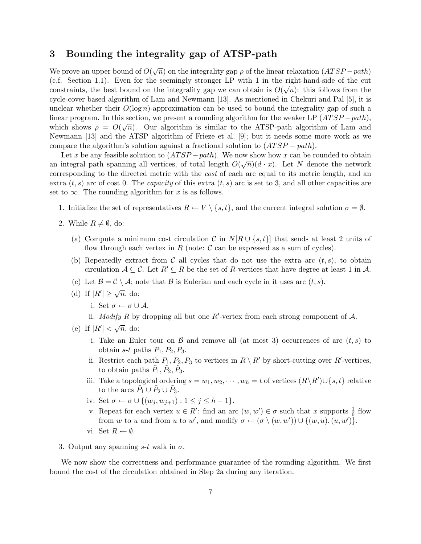## 3 Bounding the integrality gap of ATSP-path

We prove an upper bound of  $O(\sqrt{n})$  on the integrality gap  $\rho$  of the linear relaxation  $(ATSP-path)$ (c.f. Section 1.1). Even for the seemingly stronger LP with 1 in the right-hand-side of the cut constraints, the best bound on the integrality gap we can obtain is  $O(\sqrt{n})$ : this follows from the cycle-cover based algorithm of Lam and Newmann [13]. As mentioned in Chekuri and Pal [5], it is unclear whether their  $O(\log n)$ -approximation can be used to bound the integrality gap of such a linear program. In this section, we present a rounding algorithm for the weaker LP  $(ATSP - path)$ , which shows  $\rho = O(\sqrt{n})$ . Our algorithm is similar to the ATSP-path algorithm of Lam and Newmann [13] and the ATSP algorithm of Frieze et al. [9]; but it needs some more work as we compare the algorithm's solution against a fractional solution to  $(ATSP - path)$ .

Let x be any feasible solution to  $(ATSP - path)$ . We now show how x can be rounded to obtain an integral path spanning all vertices, of total length  $O(\sqrt{n})(d \cdot x)$ . Let N denote the network corresponding to the directed metric with the cost of each arc equal to its metric length, and an extra  $(t, s)$  arc of cost 0. The *capacity* of this extra  $(t, s)$  arc is set to 3, and all other capacities are set to  $\infty$ . The rounding algorithm for x is as follows.

- 1. Initialize the set of representatives  $R \leftarrow V \setminus \{s, t\}$ , and the current integral solution  $\sigma = \emptyset$ .
- 2. While  $R \neq \emptyset$ , do:
	- (a) Compute a minimum cost circulation C in  $N[R \cup \{s,t\}]$  that sends at least 2 units of flow through each vertex in R (note:  $\mathcal C$  can be expressed as a sum of cycles).
	- (b) Repeatedly extract from C all cycles that do not use the extra arc  $(t, s)$ , to obtain circulation  $A \subseteq \mathcal{C}$ . Let  $R' \subseteq R$  be the set of R-vertices that have degree at least 1 in A.
	- (c) Let  $\mathcal{B} = \mathcal{C} \setminus \mathcal{A}$ ; note that  $\mathcal{B}$  is Eulerian and each cycle in it uses arc  $(t, s)$ .
	- (d) If  $|R'| \geq \sqrt{n}$ , do:
		- i. Set  $\sigma \leftarrow \sigma \cup \mathcal{A}$ .
		- ii. *Modify* R by dropping all but one  $R'$ -vertex from each strong component of  $A$ .
	- (e) If  $|R'| < \sqrt{n}$ , do:
		- i. Take an Euler tour on  $\beta$  and remove all (at most 3) occurrences of arc  $(t, s)$  to obtain s-t paths  $P_1$ ,  $P_2$ ,  $P_3$ .
		- ii. Restrict each path  $P_1, P_2, P_3$  to vertices in  $R \setminus R'$  by short-cutting over  $R'$ -vertices, to obtain paths  $\tilde{P}_1, \tilde{P}_2, \tilde{P}_3$ .
		- iii. Take a topological ordering  $s = w_1, w_2, \cdots, w_h = t$  of vertices  $(R \setminus R') \cup \{s, t\}$  relative to the arcs  $\tilde{P}_1 \cup \tilde{P}_2 \cup \tilde{P}_3$ .
		- iv. Set  $\sigma \leftarrow \sigma \cup \{(w_j, w_{j+1}) : 1 \leq j \leq h-1\}.$
		- v. Repeat for each vertex  $u \in R'$ : find an arc  $(w, w') \in \sigma$  such that x supports  $\frac{1}{6}$  flow from w to u and from u to w', and modify  $\sigma \leftarrow (\sigma \setminus (w, w')) \cup \{(w, u), (u, w')\}.$
		- vi. Set  $R \leftarrow \emptyset$ .
- 3. Output any spanning  $s-t$  walk in  $\sigma$ .

We now show the correctness and performance guarantee of the rounding algorithm. We first bound the cost of the circulation obtained in Step 2a during any iteration.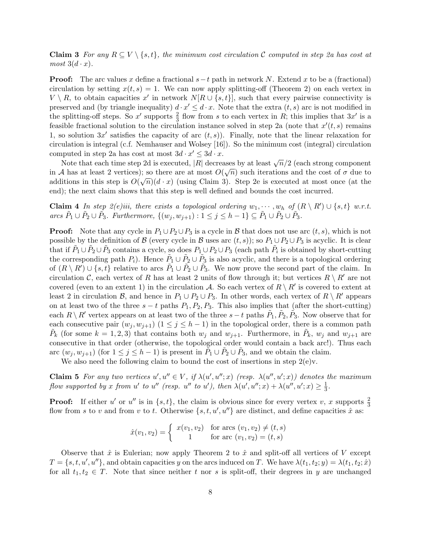**Claim 3** For any  $R \subseteq V \setminus \{s,t\}$ , the minimum cost circulation C computed in step 2a has cost at  $most \ 3(d \cdot x).$ 

**Proof:** The arc values x define a fractional  $s-t$  path in network N. Extend x to be a (fractional) circulation by setting  $x(t, s) = 1$ . We can now apply splitting-off (Theorem 2) on each vertex in  $V \setminus R$ , to obtain capacities x' in network  $N[R \cup \{s,t\}]$ , such that every pairwise connectivity is preserved and (by triangle inequality)  $d \cdot x' \leq d \cdot x$ . Note that the extra  $(t, s)$  arc is not modified in the splitting-off steps. So x' supports  $\frac{2}{3}$  flow from s to each vertex in R; this implies that  $3x'$  is a feasible fractional solution to the circulation instance solved in step 2a (note that  $x'(t, s)$  remains 1, so solution  $3x'$  satisfies the capacity of arc  $(t, s)$ ). Finally, note that the linear relaxation for circulation is integral (c.f. Nemhauser and Wolsey [16]). So the minimum cost (integral) circulation computed in step 2a has cost at most  $3d \cdot x' \leq 3d \cdot x$ .

puted in step 2a has cost at most  $5a \cdot x \le 5a \cdot x$ .<br>Note that each time step 2d is executed, |R| decreases by at least  $\sqrt{n}/2$  (each strong component in A has at least 2 vertices); so there are at most  $O(\sqrt{n})$  such iterations and the cost of  $\sigma$  due to additions in this step is  $O(\sqrt{n})(d \cdot x)$  (using Claim 3). Step 2e is executed at most once (at the end); the next claim shows that this step is well defined and bounds the cost incurred.

**Claim 4** In step  $2(e)$ iii, there exists a topological ordering  $w_1, \dots, w_h$  of  $(R \setminus R') \cup \{s, t\}$  w.r.t. arcs  $\tilde{P}_1 \cup \tilde{P}_2 \cup \tilde{P}_3$ . Furthermore,  $\{(w_j, w_{j+1}) : 1 \leq j \leq h-1\} \subseteq \tilde{P}_1 \cup \tilde{P}_2 \cup \tilde{P}_3$ .

**Proof:** Note that any cycle in  $P_1 \cup P_2 \cup P_3$  is a cycle in B that does not use arc  $(t, s)$ , which is not possible by the definition of B (every cycle in B uses arc  $(t, s)$ ); so  $P_1 \cup P_2 \cup P_3$  is acyclic. It is clear that if  $\tilde{P}_1 \cup \tilde{P}_2 \cup \tilde{P}_3$  contains a cycle, so does  $P_1 \cup P_2 \cup P_3$  (each path  $\tilde{P}_i$  is obtained by short-cutting the corresponding path  $P_i$ ). Hence  $\tilde{P}_1 \cup \tilde{P}_2 \cup \tilde{P}_3$  is also acyclic, and there is a topological ordering of  $(R \setminus R') \cup \{s, t\}$  relative to arcs  $\tilde{P}_1 \cup \tilde{P}_2 \cup \tilde{P}_3$ . We now prove the second part of the claim. In circulation C, each vertex of R has at least 2 units of flow through it; but vertices  $R \setminus R'$  are not covered (even to an extent 1) in the circulation A. So each vertex of  $R \setminus R'$  is covered to extent at least 2 in circulation B, and hence in  $P_1 \cup P_2 \cup P_3$ . In other words, each vertex of  $R \setminus R'$  appears on at least two of the three  $s - t$  paths  $P_1, P_2, P_3$ . This also implies that (after the short-cutting) each  $R \setminus R'$  vertex appears on at least two of the three  $s-t$  paths  $\tilde{P}_1$ ,  $\tilde{P}_2$ ,  $\tilde{P}_3$ . Now observe that for each consecutive pair  $(w_j, w_{j+1})$   $(1 \leq j \leq h-1)$  in the topological order, there is a common path  $\tilde{P}_k$  (for some  $k = 1, 2, 3$ ) that contains both  $w_j$  and  $w_{j+1}$ . Furthermore, in  $\tilde{P}_k$ ,  $w_j$  and  $w_{j+1}$  are consecutive in that order (otherwise, the topological order would contain a back arc!). Thus each arc  $(w_j, w_{j+1})$  (for  $1 \leq j \leq h-1$ ) is present in  $\tilde{P}_1 \cup \tilde{P}_2 \cup \tilde{P}_3$ , and we obtain the claim.

We also need the following claim to bound the cost of insertions in step  $2(e)y$ .

**Claim 5** For any two vertices  $u', u'' \in V$ , if  $\lambda(u', u''; x)$  (resp.  $\lambda(u'', u'; x)$ ) denotes the maximum flow supported by x from u' to u'' (resp. u'' to u'), then  $\lambda(u', u''; x) + \lambda(u'', u'; x) \geq \frac{1}{3}$  $\frac{1}{3}$ .

**Proof:** If either u' or u'' is in  $\{s, t\}$ , the claim is obvious since for every vertex v, x supports  $\frac{2}{3}$ flow from s to v and from v to t. Otherwise  $\{s, t, u', u''\}$  are distinct, and define capacities  $\hat{x}$  as:

$$
\hat{x}(v_1, v_2) = \begin{cases} x(v_1, v_2) & \text{for arcs } (v_1, v_2) \neq (t, s) \\ 1 & \text{for arc } (v_1, v_2) = (t, s) \end{cases}
$$

Observe that  $\hat{x}$  is Eulerian; now apply Theorem 2 to  $\hat{x}$  and split-off all vertices of V except  $T = \{s, t, u', u''\}$ , and obtain capacities y on the arcs induced on T. We have  $\lambda(t_1, t_2; y) = \lambda(t_1, t_2; \hat{x})$ for all  $t_1, t_2 \in T$ . Note that since neither t nor s is split-off, their degrees in y are unchanged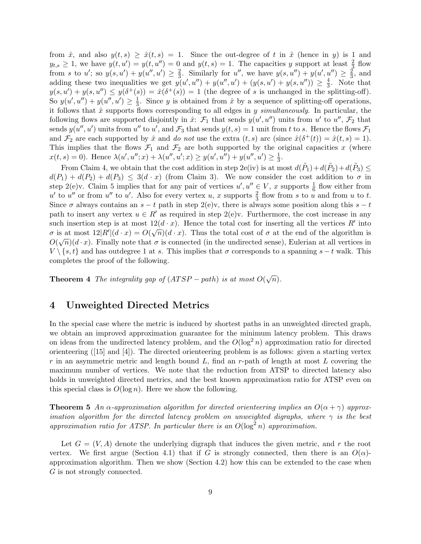from  $\hat{x}$ , and also  $y(t, s) \geq \hat{x}(t, s) = 1$ . Since the out-degree of t in  $\hat{x}$  (hence in y) is 1 and  $y_{t,s} \geq 1$ , we have  $y(t, u') = y(t, u'') = 0$  and  $y(t, s) = 1$ . The capacities y support at least  $\frac{2}{3}$  flow from s to u'; so  $y(s, u') + y(u'', u') \geq \frac{2}{3}$  $\frac{2}{3}$ . Similarly for u'', we have  $y(s, u'') + y(u', u'') \geq \frac{2}{3}$  $\frac{2}{3}$ , and adding these two inequalities we get  $y(u', u'') + y(u'', u') + (y(s, u') + y(s, u'')) \geq \frac{4}{3}$  $\frac{4}{3}$ . Note that  $y(s, u') + y(s, u'') \leq y(\delta^+(s)) = \hat{x}(\delta^+(s)) = 1$  (the degree of s is unchanged in the splitting-off). So  $y(u', u'') + y(u'', u') \geq \frac{1}{3}$  $\frac{1}{3}$ . Since y is obtained from  $\hat{x}$  by a sequence of splitting-off operations, it follows that  $\hat{x}$  supports flows corresponding to all edges in y simultaneously. In particular, the following flows are supported disjointly in  $\hat{x}$ :  $\mathcal{F}_1$  that sends  $y(u', u'')$  units from u' to u'',  $\mathcal{F}_2$  that sends  $y(u'', u')$  units from  $u''$  to  $u'$ , and  $\mathcal{F}_3$  that sends  $y(t, s) = 1$  unit from t to s. Hence the flows  $\mathcal{F}_1$ and  $\mathcal{F}_2$  are each supported by  $\hat{x}$  and do not use the extra  $(t, s)$  arc (since  $\hat{x}(\delta^+(t)) = \hat{x}(t, s) = 1$ ). This implies that the flows  $\mathcal{F}_1$  and  $\mathcal{F}_2$  are both supported by the original capacities x (where  $x(t,s) = 0$ . Hence  $\lambda(u', u''; x) + \lambda(u'', u'; x) \ge y(u', u'') + y(u'', u') \ge \frac{1}{3}$  $\frac{1}{3}$ .

From Claim 4, we obtain that the cost addition in step 2e(iv) is at most  $d(\tilde{P}_1)+d(\tilde{P}_2)+d(\tilde{P}_3) \leq$  $d(P_1) + d(P_2) + d(P_3) \leq 3(d \cdot x)$  (from Claim 3). We now consider the cost addition to  $\sigma$  in step 2(e)v. Claim 5 implies that for any pair of vertices  $u', u'' \in V$ , x supports  $\frac{1}{6}$  flow either from u' to u'' or from u'' to u'. Also for every vertex u, x supports  $\frac{2}{3}$  flow from s to u and from u to t. Since  $\sigma$  always contains an  $s - t$  path in step 2(e)v, there is always some position along this  $s - t$ path to insert any vertex  $u \in R'$  as required in step  $2(e)v$ . Furthermore, the cost increase in any such insertion step is at most  $12(d \cdot x)$ . Hence the total cost for inserting all the vertices R' into  $\sigma$  is at most  $12|R'|(d \cdot x) = O(\sqrt{n})(d \cdot x)$ . Thus the total cost of  $\sigma$  at the end of the algorithm is  $O(\sqrt{n})(d \cdot x)$ . Finally note that  $\sigma$  is connected (in the undirected sense), Eulerian at all vertices in  $V \setminus \{s, t\}$  and has outdegree 1 at s. This implies that  $\sigma$  corresponds to a spanning  $s - t$  walk. This completes the proof of the following.

**Theorem 4** The integrality gap of  $(ATSP - path)$  is at most  $O(\sqrt{n})$ .

### 4 Unweighted Directed Metrics

In the special case where the metric is induced by shortest paths in an unweighted directed graph, we obtain an improved approximation guarantee for the minimum latency problem. This draws on ideas from the undirected latency problem, and the  $O(\log^2 n)$  approximation ratio for directed orienteering ([15] and [4]). The directed orienteering problem is as follows: given a starting vertex r in an asymmetric metric and length bound L, find an r-path of length at most L covering the maximum number of vertices. We note that the reduction from ATSP to directed latency also holds in unweighted directed metrics, and the best known approximation ratio for ATSP even on this special class is  $O(\log n)$ . Here we show the following.

**Theorem 5** An  $\alpha$ -approximation algorithm for directed orienteering implies an  $O(\alpha + \gamma)$  approximation algorithm for the directed latency problem on unweighted digraphs, where  $\gamma$  is the best approximation ratio for ATSP. In particular there is an  $O(\log^2 n)$  approximation.

Let  $G = (V, A)$  denote the underlying digraph that induces the given metric, and r the root vertex. We first argue (Section 4.1) that if G is strongly connected, then there is an  $O(\alpha)$ approximation algorithm. Then we show (Section 4.2) how this can be extended to the case when G is not strongly connected.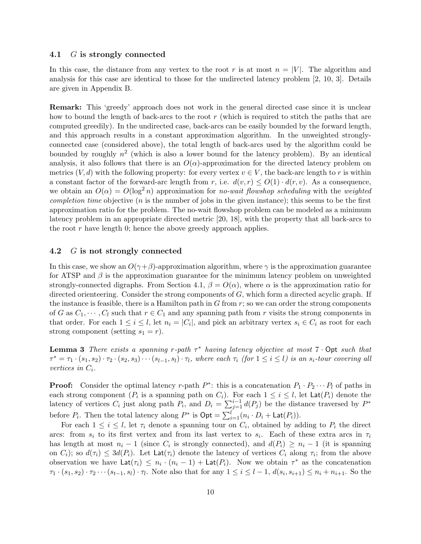#### 4.1 G is strongly connected

In this case, the distance from any vertex to the root r is at most  $n = |V|$ . The algorithm and analysis for this case are identical to those for the undirected latency problem [2, 10, 3]. Details are given in Appendix B.

Remark: This 'greedy' approach does not work in the general directed case since it is unclear how to bound the length of back-arcs to the root  $r$  (which is required to stitch the paths that are computed greedily). In the undirected case, back-arcs can be easily bounded by the forward length, and this approach results in a constant approximation algorithm. In the unweighted stronglyconnected case (considered above), the total length of back-arcs used by the algorithm could be bounded by roughly  $n^2$  (which is also a lower bound for the latency problem). By an identical analysis, it also follows that there is an  $O(\alpha)$ -approximation for the directed latency problem on metrics  $(V, d)$  with the following property: for every vertex  $v \in V$ , the back-arc length to r is within a constant factor of the forward-arc length from r, i.e.  $d(v, r) \leq O(1) \cdot d(r, v)$ . As a consequence, we obtain an  $O(\alpha) = O(\log^2 n)$  approximation for no-wait flowshop scheduling with the weighted *completion time* objective  $(n$  is the number of jobs in the given instance); this seems to be the first approximation ratio for the problem. The no-wait flowshop problem can be modeled as a minimum latency problem in an appropriate directed metric [20, 18], with the property that all back-arcs to the root  $r$  have length 0; hence the above greedy approach applies.

#### 4.2 G is not strongly connected

In this case, we show an  $O(\gamma + \beta)$ -approximation algorithm, where  $\gamma$  is the approximation guarantee for ATSP and  $\beta$  is the approximation guarantee for the minimum latency problem on unweighted strongly-connected digraphs. From Section 4.1,  $\beta = O(\alpha)$ , where  $\alpha$  is the approximation ratio for directed orienteering. Consider the strong components of  $G$ , which form a directed acyclic graph. If the instance is feasible, there is a Hamilton path in  $G$  from  $r$ ; so we can order the strong components of G as  $C_1, \dots, C_l$  such that  $r \in C_1$  and any spanning path from r visits the strong components in that order. For each  $1 \leq i \leq l$ , let  $n_i = |C_i|$ , and pick an arbitrary vertex  $s_i \in C_i$  as root for each strong component (setting  $s_1 = r$ ).

**Lemma 3** There exists a spanning r-path  $\tau^*$  having latency objective at most 7  $\cdot$  Opt such that  $\tau^* = \tau_1 \cdot (s_1, s_2) \cdot \tau_2 \cdot (s_2, s_3) \cdots (s_{l-1}, s_l) \cdot \tau_l$ , where each  $\tau_i$  (for  $1 \leq i \leq l$ ) is an  $s_i$ -tour covering all vertices in  $C_i$ .

**Proof:** Consider the optimal latency r-path  $P^*$ : this is a concatenation  $P_1 \cdot P_2 \cdots P_l$  of paths in each strong component ( $P_i$  is a spanning path on  $C_i$ ). For each  $1 \leq i \leq l$ , let  $\textsf{Lat}(P_i)$  denote the latency of vertices  $C_i$  just along path  $P_i$ , and  $D_i = \sum_{j=1}^{i-1} d(P_j)$  be the distance traversed by  $P^*$ before  $P_i$ . Then the total latency along  $P^*$  is  $\textsf{Opt} = \sum_{i=1}^{l} (n_i \cdot D_i + \textsf{Lat}(P_i)).$ 

For each  $1 \leq i \leq l$ , let  $\tau_i$  denote a spanning tour on  $C_i$ , obtained by adding to  $P_i$  the direct arcs: from  $s_i$  to its first vertex and from its last vertex to  $s_i$ . Each of these extra arcs in  $\tau_i$ has length at most  $n_i - 1$  (since  $C_i$  is strongly connected), and  $d(P_i) \geq n_i - 1$  (it is spanning on  $C_i$ ; so  $d(\tau_i) \leq 3d(P_i)$ . Let  $\textsf{Lat}(\tau_i)$  denote the latency of vertices  $C_i$  along  $\tau_i$ ; from the above observation we have  $\text{Lat}(\tau_i) \leq n_i \cdot (n_i - 1) + \text{Lat}(P_i)$ . Now we obtain  $\tau^*$  as the concatenation  $\tau_1 \cdot (s_1, s_2) \cdot \tau_2 \cdots (s_{t-1}, s_l) \cdot \tau_l$ . Note also that for any  $1 \le i \le l-1$ ,  $d(s_i, s_{i+1}) \le n_i + n_{i+1}$ . So the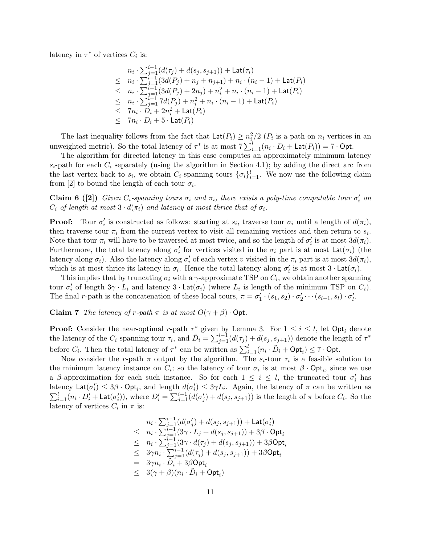latency in  $\tau^*$  of vertices  $C_i$  is:

$$
n_i \cdot \sum_{j=1}^{i-1} (d(\tau_j) + d(s_j, s_{j+1})) + \text{Lat}(\tau_i)
$$
  
\n
$$
\leq n_i \cdot \sum_{j=1}^{i-1} (3d(P_j) + n_j + n_{j+1}) + n_i \cdot (n_i - 1) + \text{Lat}(P_i)
$$
  
\n
$$
\leq n_i \cdot \sum_{j=1}^{i-1} (3d(P_j) + 2n_j) + n_i^2 + n_i \cdot (n_i - 1) + \text{Lat}(P_i)
$$
  
\n
$$
\leq n_i \cdot \sum_{j=1}^{i-1} 7d(P_j) + n_i^2 + n_i \cdot (n_i - 1) + \text{Lat}(P_i)
$$
  
\n
$$
\leq 7n_i \cdot D_i + 2n_i^2 + \text{Lat}(P_i)
$$
  
\n
$$
\leq 7n_i \cdot D_i + 5 \cdot \text{Lat}(P_i)
$$

The last inequality follows from the fact that  $\text{Lat}(P_i) \geq n_i^2/2$  ( $P_i$  is a path on  $n_i$  vertices in an unweighted metric). So the total latency of  $\tau^*$  is at most  $7\sum_{i=1}^{l}(n_i \cdot D_i + \text{Lat}(P_i)) = 7 \cdot \text{Opt.}$ 

The algorithm for directed latency in this case computes an approximately minimum latency  $s_i$ -path for each  $C_i$  separately (using the algorithm in Section 4.1); by adding the direct arc from the last vertex back to  $s_i$ , we obtain  $C_i$ -spanning tours  $\{\sigma_i\}_{i=1}^l$ . We now use the following claim from [2] to bound the length of each tour  $\sigma_i$ .

**Claim 6** ([2]) Given  $C_i$ -spanning tours  $\sigma_i$  and  $\pi_i$ , there exists a poly-time computable tour  $\sigma'_i$  on  $C_i$  of length at most  $3 \cdot d(\pi_i)$  and latency at most thrice that of  $\sigma_i$ .

**Proof:** Tour  $\sigma'_i$  is constructed as follows: starting at  $s_i$ , traverse tour  $\sigma_i$  until a length of  $d(\pi_i)$ , then traverse tour  $\pi_i$  from the current vertex to visit all remaining vertices and then return to  $s_i$ . Note that tour  $\pi_i$  will have to be traversed at most twice, and so the length of  $\sigma'_i$  is at most  $3d(\pi_i)$ . Furthermore, the total latency along  $\sigma'_i$  for vertices visited in the  $\sigma_i$  part is at most  $\text{Lat}(\sigma_i)$  (the latency along  $\sigma_i$ ). Also the latency along  $\sigma'_i$  of each vertex v visited in the  $\pi_i$  part is at most  $3d(\pi_i)$ , which is at most thrice its latency in  $\sigma_i$ . Hence the total latency along  $\sigma'_i$  is at most  $3 \cdot \textsf{Lat}(\sigma_i)$ .

This implies that by truncating  $\sigma_i$  with a  $\gamma$ -approximate TSP on  $C_i$ , we obtain another spanning tour  $\sigma'_i$  of length  $3\gamma \cdot L_i$  and latency  $3 \cdot \textsf{Lat}(\sigma_i)$  (where  $L_i$  is length of the minimum TSP on  $C_i$ ). The final r-path is the concatenation of these local tours,  $\pi = \sigma'_1 \cdot (s_1, s_2) \cdot \sigma'_2 \cdots (s_{l-1}, s_l) \cdot \sigma'_l$ .

Claim 7 The latency of r-path  $\pi$  is at most  $O(\gamma + \beta) \cdot \text{Opt}$ .

**Proof:** Consider the near-optimal r-path  $\tau^*$  given by Lemma 3. For  $1 \leq i \leq l$ , let  $\textsf{Opt}_i$  denote the latency of the C<sub>i</sub>-spanning tour  $\tau_i$ , and  $\tilde{D}_i = \sum_{j=1}^{i-1} (d(\tau_j) + d(s_j, s_{j+1}))$  denote the length of  $\tau^*$ before  $C_i$ . Then the total latency of  $\tau^*$  can be written as  $\sum_{i=1}^{l} (n_i \cdot \tilde{D}_i + \text{Opt}_i) \leq 7 \cdot \text{Opt}$ .

Now consider the r-path  $\pi$  output by the algorithm. The  $s_i$ -tour  $\tau_i$  is a feasible solution to the minimum latency instance on  $C_i$ ; so the latency of tour  $\sigma_i$  is at most  $\beta \cdot \text{Opt}_i$ , since we use a β-approximation for each such instance. So for each  $1 \leq i \leq l$ , the truncated tour  $\sigma'_{i}$  has latency  $\text{Lat}(\sigma'_i) \leq 3\beta \cdot \text{Opt}_i$ , and length  $d(\sigma'_i) \leq 3\gamma L_i$ . Again, the latency of  $\pi$  can be written as  $\sum_{i=1}^{l} (n_i \cdot D'_i + \textsf{Lat}(\sigma'_i))$ , where  $D'_i = \sum_{j=1}^{i-1} (d(\sigma'_j) + d(s_j, s_{j+1}))$  is the length of  $\pi$  before  $C_i$ . So the latency of vertices  $C_i$  in  $\pi$  is:

$$
n_i \cdot \sum_{j=1}^{i-1} (d(\sigma'_j) + d(s_j, s_{j+1})) + \text{Lat}(\sigma'_i)
$$
  
\n
$$
\leq n_i \cdot \sum_{j=1}^{i-1} (3\gamma \cdot L_j + d(s_j, s_{j+1})) + 3\beta \cdot \text{Opt}_i
$$
  
\n
$$
\leq n_i \cdot \sum_{j=1}^{i-1} (3\gamma \cdot d(\tau_j) + d(s_j, s_{j+1})) + 3\beta \text{Opt}_i
$$
  
\n
$$
\leq 3\gamma n_i \cdot \sum_{j=1}^{i-1} (d(\tau_j) + d(s_j, s_{j+1})) + 3\beta \text{Opt}_i
$$
  
\n
$$
= 3\gamma n_i \cdot \tilde{D}_i + 3\beta \text{Opt}_i
$$
  
\n
$$
\leq 3(\gamma + \beta)(n_i \cdot \tilde{D}_i + \text{Opt}_i)
$$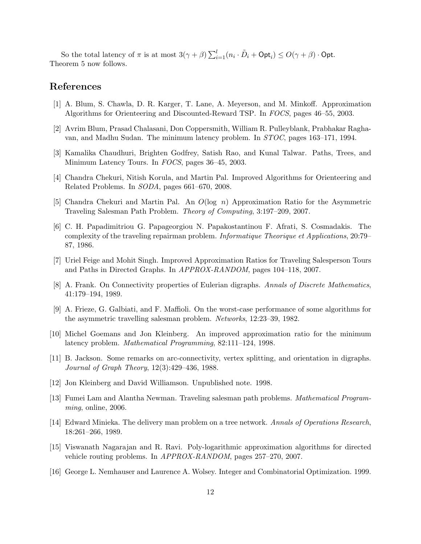So the total latency of  $\pi$  is at most  $3(\gamma + \beta) \sum_{i=1}^{l} (n_i \cdot \tilde{D}_i + \mathsf{Opt}_i) \leq O(\gamma + \beta) \cdot \mathsf{Opt}.$ Theorem 5 now follows.

## References

- [1] A. Blum, S. Chawla, D. R. Karger, T. Lane, A. Meyerson, and M. Minkoff. Approximation Algorithms for Orienteering and Discounted-Reward TSP. In FOCS, pages 46–55, 2003.
- [2] Avrim Blum, Prasad Chalasani, Don Coppersmith, William R. Pulleyblank, Prabhakar Raghavan, and Madhu Sudan. The minimum latency problem. In STOC, pages 163–171, 1994.
- [3] Kamalika Chaudhuri, Brighten Godfrey, Satish Rao, and Kunal Talwar. Paths, Trees, and Minimum Latency Tours. In FOCS, pages 36–45, 2003.
- [4] Chandra Chekuri, Nitish Korula, and Martin Pal. Improved Algorithms for Orienteering and Related Problems. In SODA, pages 661–670, 2008.
- [5] Chandra Chekuri and Martin Pal. An  $O(\log n)$  Approximation Ratio for the Asymmetric Traveling Salesman Path Problem. Theory of Computing, 3:197–209, 2007.
- [6] C. H. Papadimitriou G. Papageorgiou N. Papakostantinou F. Afrati, S. Cosmadakis. The complexity of the traveling repairman problem. Informatique Theorique et Applications, 20:79– 87, 1986.
- [7] Uriel Feige and Mohit Singh. Improved Approximation Ratios for Traveling Salesperson Tours and Paths in Directed Graphs. In APPROX-RANDOM, pages 104–118, 2007.
- [8] A. Frank. On Connectivity properties of Eulerian digraphs. Annals of Discrete Mathematics, 41:179–194, 1989.
- [9] A. Frieze, G. Galbiati, and F. Maffioli. On the worst-case performance of some algorithms for the asymmetric travelling salesman problem. Networks, 12:23–39, 1982.
- [10] Michel Goemans and Jon Kleinberg. An improved approximation ratio for the minimum latency problem. Mathematical Programming, 82:111–124, 1998.
- [11] B. Jackson. Some remarks on arc-connectivity, vertex splitting, and orientation in digraphs. Journal of Graph Theory, 12(3):429–436, 1988.
- [12] Jon Kleinberg and David Williamson. Unpublished note. 1998.
- [13] Fumei Lam and Alantha Newman. Traveling salesman path problems. Mathematical Programming, online, 2006.
- [14] Edward Minieka. The delivery man problem on a tree network. Annals of Operations Research, 18:261–266, 1989.
- [15] Viswanath Nagarajan and R. Ravi. Poly-logarithmic approximation algorithms for directed vehicle routing problems. In APPROX-RANDOM, pages 257–270, 2007.
- [16] George L. Nemhauser and Laurence A. Wolsey. Integer and Combinatorial Optimization. 1999.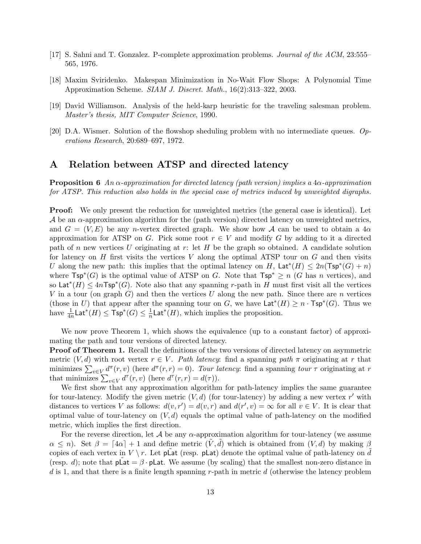- [17] S. Sahni and T. Gonzalez. P-complete approximation problems. Journal of the ACM, 23:555– 565, 1976.
- [18] Maxim Sviridenko. Makespan Minimization in No-Wait Flow Shops: A Polynomial Time Approximation Scheme. SIAM J. Discret. Math., 16(2):313–322, 2003.
- [19] David Williamson. Analysis of the held-karp heuristic for the traveling salesman problem. Master's thesis, MIT Computer Science, 1990.
- [20] D.A. Wismer. Solution of the flowshop sheduling problem with no intermediate queues. Operations Research, 20:689–697, 1972.

### A Relation between ATSP and directed latency

**Proposition 6** An  $\alpha$ -approximation for directed latency (path version) implies a  $4\alpha$ -approximation for ATSP. This reduction also holds in the special case of metrics induced by unweighted digraphs.

**Proof:** We only present the reduction for unweighted metrics (the general case is identical). Let  $\mathcal A$  be an  $\alpha$ -approximation algorithm for the (path version) directed latency on unweighted metrics, and  $G = (V, E)$  be any n-vertex directed graph. We show how A can be used to obtain a 4 $\alpha$ approximation for ATSP on G. Pick some root  $r \in V$  and modify G by adding to it a directed path of n new vertices U originating at  $r$ : let H be the graph so obtained. A candidate solution for latency on  $H$  first visits the vertices  $V$  along the optimal ATSP tour on  $G$  and then visits U along the new path: this implies that the optimal latency on H,  $\text{Lat}^*(H) \leq 2n(\text{Tsp}^*(G) + n)$ where  $\mathsf{Tsp}^*(G)$  is the optimal value of ATSP on G. Note that  $\mathsf{Tsp}^* \geq n$  (G has n vertices), and so Lat<sup>\*</sup> $(H) \leq 4n$ Tsp<sup>\*</sup> $(G)$ . Note also that any spanning r-path in H must first visit all the vertices V in a tour (on graph  $G$ ) and then the vertices U along the new path. Since there are n vertices (those in U) that appear after the spanning tour on G, we have  $\textsf{Lat}^*(H) \geq n \cdot \textsf{Tsp}^*(G)$ . Thus we  $\mathrm{have}\,\, \frac{1}{4n}\mathsf{Lat}^*(H)\leq \mathsf{Tsp}^*(G)\leq \frac{1}{n}$  $\frac{1}{n}$ Lat<sup>\*</sup>(*H*), which implies the proposition.

We now prove Theorem 1, which shows the equivalence (up to a constant factor) of approximating the path and tour versions of directed latency.

Proof of Theorem 1. Recall the definitions of the two versions of directed latency on asymmetric metric  $(V, d)$  with root vertex  $r \in V$ . Path latency: find a spanning path  $\pi$  originating at r that minimizes  $\sum_{v \in V} d^{\pi}(r, v)$  (here  $d^{\pi}(r, r) = 0$ ). Tour latency: find a spanning tour  $\tau$  originating at r that minimizes  $\sum_{v \in V} d^{\tau}(r, v)$  (here  $d^{\tau}(r, r) = d(\tau)$ ).

We first show that any approximation algorithm for path-latency implies the same guarantee for tour-latency. Modify the given metric  $(V, d)$  (for tour-latency) by adding a new vertex r' with distances to vertices V as follows:  $d(v, r') = d(v, r)$  and  $d(r', v) = \infty$  for all  $v \in V$ . It is clear that optimal value of tour-latency on  $(V, d)$  equals the optimal value of path-latency on the modified metric, which implies the first direction.

For the reverse direction, let  $\mathcal A$  be any  $\alpha$ -approximation algorithm for tour-latency (we assume  $\alpha \leq n$ ). Set  $\beta = \lfloor 4\alpha \rfloor + 1$  and define metric  $(V, d)$  which is obtained from  $(V, d)$  by making  $\beta$ copies of each vertex in  $V \backslash r$ . Let plat (resp. plat) denote the optimal value of path-latency on d (resp. d); note that  $\not\equiv \beta \cdot \text{plat}$ . We assume (by scaling) that the smallest non-zero distance in  $d$  is 1, and that there is a finite length spanning r-path in metric  $d$  (otherwise the latency problem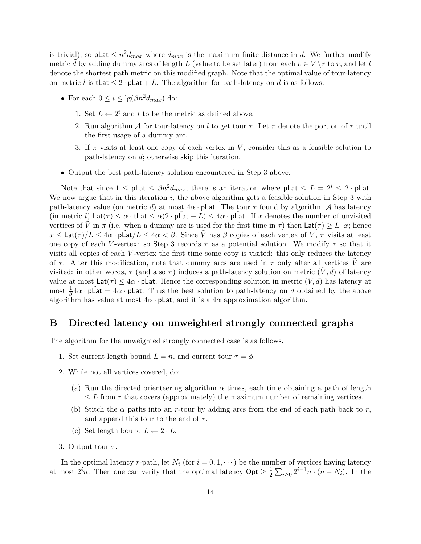is trivial); so plat  $\leq n^2 d_{max}$  where  $d_{max}$  is the maximum finite distance in d. We further modify metric d by adding dummy arcs of length L (value to be set later) from each  $v \in V \setminus r$  to r, and let l denote the shortest path metric on this modified graph. Note that the optimal value of tour-latency on metric l is tLat  $\leq 2 \cdot p\tilde{L}at + L$ . The algorithm for path-latency on d is as follows.

- For each  $0 \leq i \leq \lg(\beta n^2 d_{max})$  do:
	- 1. Set  $L \leftarrow 2^i$  and l to be the metric as defined above.
	- 2. Run algorithm A for tour-latency on l to get tour  $\tau$ . Let  $\pi$  denote the portion of  $\tau$  until the first usage of a dummy arc.
	- 3. If  $\pi$  visits at least one copy of each vertex in V, consider this as a feasible solution to path-latency on d; otherwise skip this iteration.
- Output the best path-latency solution encountered in Step 3 above.

Note that since  $1 \le \rho \tilde{L}$  at  $\le \beta n^2 d_{max}$ , there is an iteration where  $\rho \tilde{L}$  at  $\le L = 2^i \le 2 \cdot \rho \tilde{L}$  at. We now argue that in this iteration i, the above algorithm gets a feasible solution in Step  $3$  with path-latency value (on metric d) at most  $4\alpha$  · plat. The tour  $\tau$  found by algorithm A has latency (in metric l)  $\textsf{Lat}(\tau) \leq \alpha \cdot \textsf{tlat} \leq \alpha(2 \cdot \textsf{plat} + L) \leq 4\alpha \cdot \textsf{plat}$ . If x denotes the number of unvisited vertices of  $\tilde{V}$  in  $\pi$  (i.e. when a dummy arc is used for the first time in  $\tau$ ) then  $\text{Lat}(\tau) \geq L \cdot x$ ; hence  $x \le \textsf{Lat}(\tau)/L \le 4\alpha \cdot \textsf{pLat}/L \le 4\alpha < \beta$ . Since  $\tilde{V}$  has  $\beta$  copies of each vertex of  $V, \pi$  visits at least one copy of each V-vertex: so Step 3 records  $\pi$  as a potential solution. We modify  $\tau$  so that it visits all copies of each V -vertex the first time some copy is visited: this only reduces the latency of  $\tau$ . After this modification, note that dummy arcs are used in  $\tau$  only after all vertices  $\tilde{V}$  are visited: in other words,  $\tau$  (and also  $\pi$ ) induces a path-latency solution on metric  $(\tilde{V}, \tilde{d})$  of latency value at most  $\textsf{Lat}(\tau) \leq 4\alpha \cdot \textsf{pLat}$ . Hence the corresponding solution in metric  $(V, d)$  has latency at most  $\frac{1}{\beta}4\alpha \cdot \mathsf{p}\mathsf{Lat} = 4\alpha \cdot \mathsf{p}\mathsf{Lat}$ . Thus the best solution to path-latency on d obtained by the above algorithm has value at most  $4\alpha \cdot \text{plat}$ , and it is a  $4\alpha$  approximation algorithm.

### B Directed latency on unweighted strongly connected graphs

The algorithm for the unweighted strongly connected case is as follows.

- 1. Set current length bound  $L = n$ , and current tour  $\tau = \phi$ .
- 2. While not all vertices covered, do:
	- (a) Run the directed orienteering algorithm  $\alpha$  times, each time obtaining a path of length  $\leq L$  from r that covers (approximately) the maximum number of remaining vertices.
	- (b) Stitch the  $\alpha$  paths into an r-tour by adding arcs from the end of each path back to r, and append this tour to the end of  $\tau$ .
	- (c) Set length bound  $L \leftarrow 2 \cdot L$ .
- 3. Output tour  $\tau$ .

In the optimal latency r-path, let  $N_i$  (for  $i = 0, 1, \dots$ ) be the number of vertices having latency at most  $2^{i}n$ . Then one can verify that the optimal latency  $\mathsf{Opt} \geq \frac{1}{2}$  $\frac{1}{2} \sum_{i \geq 0} 2^{i-1} n \cdot (n - N_i)$ . In the